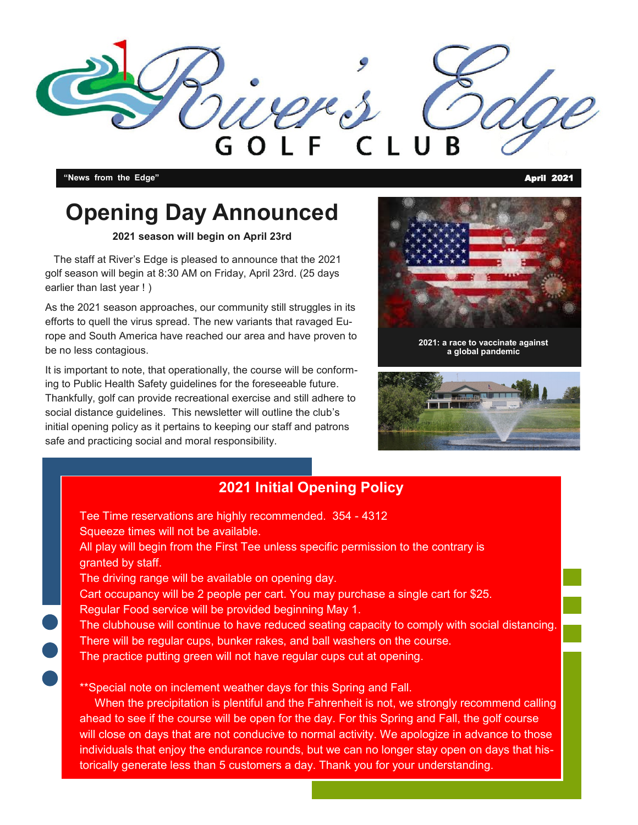

**"News from the Edge"** April 2021

### **Opening Day Announced**

#### **2021 season will begin on April 23rd**

 The staff at River's Edge is pleased to announce that the 2021 golf season will begin at 8:30 AM on Friday, April 23rd. (25 days earlier than last year ! )

As the 2021 season approaches, our community still struggles in its efforts to quell the virus spread. The new variants that ravaged Europe and South America have reached our area and have proven to be no less contagious.

It is important to note, that operationally, the course will be conforming to Public Health Safety guidelines for the foreseeable future. Thankfully, golf can provide recreational exercise and still adhere to social distance guidelines. This newsletter will outline the club's initial opening policy as it pertains to keeping our staff and patrons safe and practicing social and moral responsibility.



**2021: a race to vaccinate against a global pandemic**



#### **2021 Initial Opening Policy**

 Tee Time reservations are highly recommended. 354 - 4312 Squeeze times will not be available. All play will begin from the First Tee unless specific permission to the contrary is granted by staff. The driving range will be available on opening day. Cart occupancy will be 2 people per cart. You may purchase a single cart for \$25. Regular Food service will be provided beginning May 1. The clubhouse will continue to have reduced seating capacity to comply with social distancing. There will be regular cups, bunker rakes, and ball washers on the course. The practice putting green will not have regular cups cut at opening. \*\*Special note on inclement weather days for this Spring and Fall. When the precipitation is plentiful and the Fahrenheit is not, we strongly recommend calling ahead to see if the course will be open for the day. For this Spring and Fall, the golf course will close on days that are not conducive to normal activity. We apologize in advance to those

individuals that enjoy the endurance rounds, but we can no longer stay open on days that historically generate less than 5 customers a day. Thank you for your understanding.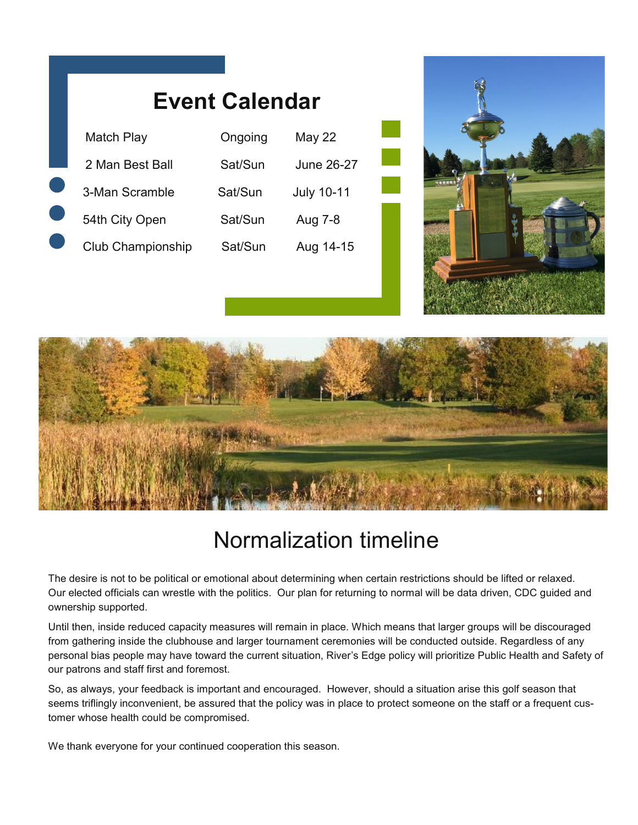| <b>Event Calendar</b> |         |                   |
|-----------------------|---------|-------------------|
| Match Play            | Ongoing | May 22            |
| 2 Man Best Ball       | Sat/Sun | June 26-27        |
| 3-Man Scramble        | Sat/Sun | <b>July 10-11</b> |
| 54th City Open        | Sat/Sun | Aug 7-8           |
| Club Championship     | Sat/Sun | Aug 14-15         |





### Normalization timeline

The desire is not to be political or emotional about determining when certain restrictions should be lifted or relaxed. Our elected officials can wrestle with the politics. Our plan for returning to normal will be data driven, CDC guided and ownership supported.

Until then, inside reduced capacity measures will remain in place. Which means that larger groups will be discouraged from gathering inside the clubhouse and larger tournament ceremonies will be conducted outside. Regardless of any personal bias people may have toward the current situation, River's Edge policy will prioritize Public Health and Safety of our patrons and staff first and foremost.

So, as always, your feedback is important and encouraged. However, should a situation arise this golf season that seems triflingly inconvenient, be assured that the policy was in place to protect someone on the staff or a frequent customer whose health could be compromised.

We thank everyone for your continued cooperation this season.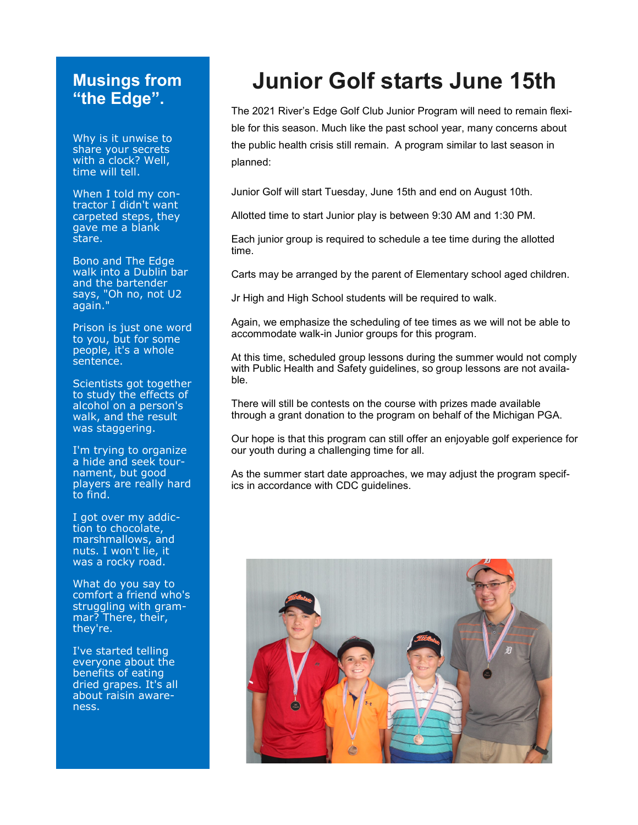### **Musings from "the Edge".**

Why is it unwise to share your secrets with a clock? Well, time will tell.

When I told my contractor I didn't want carpeted steps, they gave me a blank stare.

Bono and The Edge walk into a Dublin bar and the bartender says, "Oh no, not U2 again."

Prison is just one word to you, but for some people, it's a whole sentence.

Scientists got together to study the effects of alcohol on a person's walk, and the result was staggering.

I'm trying to organize a hide and seek tournament, but good players are really hard to find.

I got over my addiction to chocolate, marshmallows, and nuts. I won't lie, it was a rocky road.

What do you say to comfort a friend who's struggling with grammar? There, their, they're.

I've started telling everyone about the benefits of eating dried grapes. It's all about raisin awareness.

## **Junior Golf starts June 15th**

The 2021 River's Edge Golf Club Junior Program will need to remain flexible for this season. Much like the past school year, many concerns about the public health crisis still remain. A program similar to last season in planned:

Junior Golf will start Tuesday, June 15th and end on August 10th.

Allotted time to start Junior play is between 9:30 AM and 1:30 PM.

Each junior group is required to schedule a tee time during the allotted time.

Carts may be arranged by the parent of Elementary school aged children.

Jr High and High School students will be required to walk.

Again, we emphasize the scheduling of tee times as we will not be able to accommodate walk-in Junior groups for this program.

At this time, scheduled group lessons during the summer would not comply with Public Health and Safety guidelines, so group lessons are not available.

There will still be contests on the course with prizes made available through a grant donation to the program on behalf of the Michigan PGA.

Our hope is that this program can still offer an enjoyable golf experience for our youth during a challenging time for all.

As the summer start date approaches, we may adjust the program specifics in accordance with CDC guidelines.